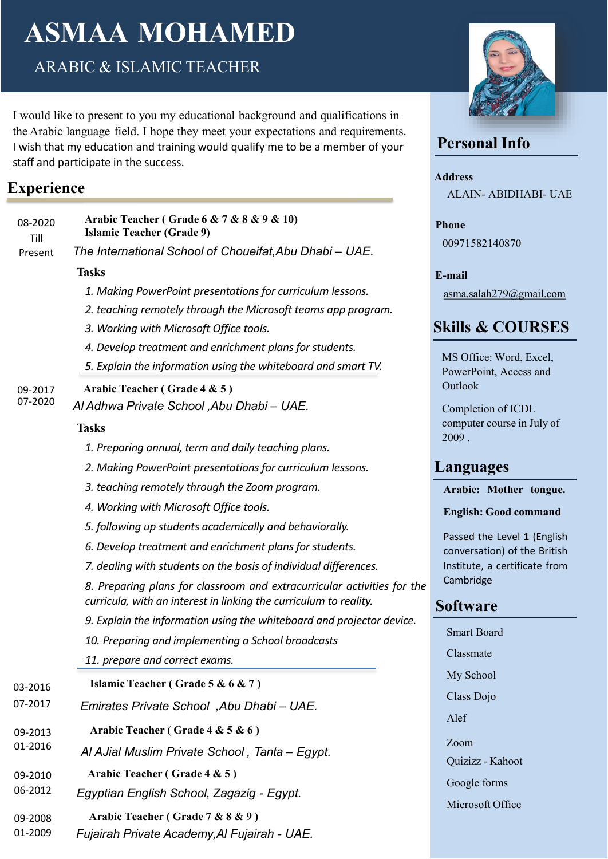# **ASMAA MOHAMED**

ARABIC & ISLAMIC TEACHER

I would like to present to you my educational background and qualifications in the Arabic language field. I hope they meet your expectations and requirements. I wish that my education and training would qualify me to be a member of your staff and participate in the success.

## **Experience**

| 08-2020<br>Till | Arabic Teacher (Grade 6 & 7 & 8 & 9 & 10)<br><b>Islamic Teacher (Grade 9)</b>                                                                |
|-----------------|----------------------------------------------------------------------------------------------------------------------------------------------|
| Present         | The International School of Choueifat, Abu Dhabi - UAE.                                                                                      |
|                 | <b>Tasks</b>                                                                                                                                 |
|                 | 1. Making PowerPoint presentations for curriculum lessons.                                                                                   |
|                 | 2. teaching remotely through the Microsoft teams app program.                                                                                |
|                 | 3. Working with Microsoft Office tools.                                                                                                      |
|                 | 4. Develop treatment and enrichment plans for students.                                                                                      |
|                 | 5. Explain the information using the whiteboard and smart TV.                                                                                |
| 09-2017         | Arabic Teacher (Grade 4 & 5)                                                                                                                 |
| 07-2020         | Al Adhwa Private School , Abu Dhabi – UAE.                                                                                                   |
|                 | <b>Tasks</b>                                                                                                                                 |
|                 | 1. Preparing annual, term and daily teaching plans.                                                                                          |
|                 | 2. Making PowerPoint presentations for curriculum lessons.                                                                                   |
|                 | 3. teaching remotely through the Zoom program.                                                                                               |
|                 | 4. Working with Microsoft Office tools.                                                                                                      |
|                 | 5. following up students academically and behaviorally.                                                                                      |
|                 | 6. Develop treatment and enrichment plans for students.                                                                                      |
|                 | 7. dealing with students on the basis of individual differences.                                                                             |
|                 | 8. Preparing plans for classroom and extracurricular activities for the<br>curricula, with an interest in linking the curriculum to reality. |
|                 | 9. Explain the information using the whiteboard and projector device.                                                                        |
|                 | 10. Preparing and implementing a School broadcasts                                                                                           |
|                 | 11. prepare and correct exams.                                                                                                               |
| 03-2016         | Islamic Teacher (Grade 5 & 6 & 7)                                                                                                            |
| 07-2017         | Emirates Private School, Abu Dhabi - UAE.                                                                                                    |
| 09-2013         | Arabic Teacher (Grade 4 & 5 & 6)                                                                                                             |
| 01-2016         | Al AJial Muslim Private School, Tanta - Egypt.                                                                                               |
| 09-2010         | Arabic Teacher (Grade 4 & 5)                                                                                                                 |
| 06-2012         | Egyptian English School, Zagazig - Egypt.                                                                                                    |
| 09-2008         | Arabic Teacher (Grade 7 & 8 & 9)                                                                                                             |
| 01-2009         | Fujairah Private Academy, Al Fujairah - UAE.                                                                                                 |



## **Personal Info**

**Address** ALAIN- ABIDHABI- UAE

**Phone** 00971582140870

**E-mail** [asma.salah279@gmail.com](mailto:asma.salah279@gmail.com)

# **Skills & COURSES**

MS Office: Word, Excel, PowerPoint, Access and Outlook

Completion of ICDL computer course in July of 2009 .

## **Languages**

#### **Arabic: Mother tongue.**

#### **English: Good command**

Passed the Level **1** (English conversation) of the British Institute, a certificate from Cambridge

## **Software**

| Smart Board      |
|------------------|
| Classmate        |
| My School        |
| Class Dojo       |
| Alef             |
|                  |
| Zoom             |
| Quizizz - Kahoot |
| Google forms     |
| Microsoft Office |